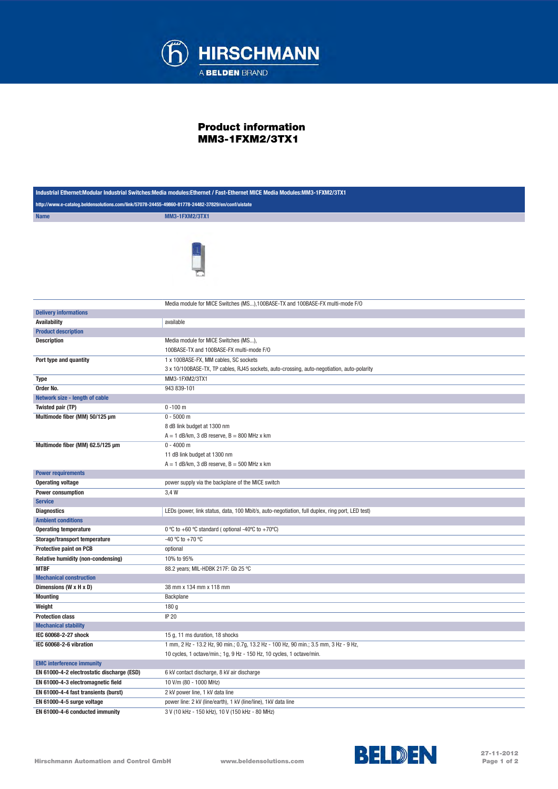

## Product information MM3-1FXM2/3TX1

| Industrial Ethernet:Modular Industrial Switches:Media modules:Ethernet / Fast-Ethernet MICE Media Modules:MM3-1FXM2/3TX1 |                                                                                                                                                               |  |
|--------------------------------------------------------------------------------------------------------------------------|---------------------------------------------------------------------------------------------------------------------------------------------------------------|--|
| http://www.e-catalog.beldensolutions.com/link/57078-24455-49860-81778-24482-37829/en/conf/uistate                        |                                                                                                                                                               |  |
| <b>Name</b>                                                                                                              | <b>MM3-1FXM2/3TX1</b>                                                                                                                                         |  |
|                                                                                                                          |                                                                                                                                                               |  |
|                                                                                                                          | Media module for MICE Switches (MS),100BASE-TX and 100BASE-FX multi-mode F/O                                                                                  |  |
| <b>Delivery informations</b><br><b>Availability</b>                                                                      | available                                                                                                                                                     |  |
|                                                                                                                          |                                                                                                                                                               |  |
| <b>Product description</b><br><b>Description</b>                                                                         | Media module for MICE Switches (MS),                                                                                                                          |  |
|                                                                                                                          |                                                                                                                                                               |  |
|                                                                                                                          | 100BASE-TX and 100BASE-FX multi-mode F/O                                                                                                                      |  |
| Port type and quantity                                                                                                   | 1 x 100BASE-FX, MM cables, SC sockets                                                                                                                         |  |
|                                                                                                                          | 3 x 10/100BASE-TX, TP cables, RJ45 sockets, auto-crossing, auto-negotiation, auto-polarity                                                                    |  |
| Type                                                                                                                     | MM3-1FXM2/3TX1                                                                                                                                                |  |
| Order No.                                                                                                                | 943 839-101                                                                                                                                                   |  |
| Network size - length of cable                                                                                           |                                                                                                                                                               |  |
| Twisted pair (TP)                                                                                                        | $0 - 100$ m                                                                                                                                                   |  |
| Multimode fiber (MM) 50/125 µm<br>Multimode fiber (MM) 62.5/125 µm                                                       | $0 - 5000$ m<br>8 dB link budget at 1300 nm<br>$A = 1$ dB/km, 3 dB reserve, $B = 800$ MHz x km<br>$0 - 4000$ m                                                |  |
|                                                                                                                          | 11 dB link budget at 1300 nm<br>$A = 1$ dB/km, 3 dB reserve, $B = 500$ MHz x km                                                                               |  |
| <b>Power requirements</b>                                                                                                |                                                                                                                                                               |  |
| <b>Operating voltage</b>                                                                                                 | power supply via the backplane of the MICE switch                                                                                                             |  |
|                                                                                                                          | 3,4 W                                                                                                                                                         |  |
| Power consumption                                                                                                        |                                                                                                                                                               |  |
| <b>Service</b>                                                                                                           |                                                                                                                                                               |  |
| <b>Diagnostics</b>                                                                                                       | LEDs (power, link status, data, 100 Mbit/s, auto-negotiation, full duplex, ring port, LED test)                                                               |  |
| <b>Ambient conditions</b>                                                                                                | 0 °C to +60 °C standard (optional -40 °C to +70 °C)                                                                                                           |  |
| <b>Operating temperature</b>                                                                                             | -40 °C to +70 °C                                                                                                                                              |  |
| Storage/transport temperature                                                                                            |                                                                                                                                                               |  |
| <b>Protective paint on PCB</b>                                                                                           | optional                                                                                                                                                      |  |
| Relative humidity (non-condensing)                                                                                       | 10% to 95%                                                                                                                                                    |  |
| <b>MTBF</b>                                                                                                              | 88.2 years; MIL-HDBK 217F: Gb 25 °C                                                                                                                           |  |
| <b>Mechanical construction</b>                                                                                           |                                                                                                                                                               |  |
| Dimensions (W x H x D)                                                                                                   | 38 mm x 134 mm x 118 mm                                                                                                                                       |  |
| <b>Mounting</b>                                                                                                          | Backplane                                                                                                                                                     |  |
| Weight                                                                                                                   | 180 g                                                                                                                                                         |  |
| <b>Protection class</b>                                                                                                  | <b>IP 20</b>                                                                                                                                                  |  |
| <b>Mechanical stability</b>                                                                                              |                                                                                                                                                               |  |
| IEC 60068-2-27 shock                                                                                                     | 15 g, 11 ms duration, 18 shocks                                                                                                                               |  |
| IEC 60068-2-6 vibration                                                                                                  | 1 mm, 2 Hz - 13.2 Hz, 90 min.; 0.7g, 13.2 Hz - 100 Hz, 90 min.; 3.5 mm, 3 Hz - 9 Hz,<br>10 cycles, 1 octave/min.; 1g, 9 Hz - 150 Hz, 10 cycles, 1 octave/min. |  |
| <b>EMC</b> interference immunity                                                                                         |                                                                                                                                                               |  |
| EN 61000-4-2 electrostatic discharge (ESD)                                                                               | 6 kV contact discharge, 8 kV air discharge                                                                                                                    |  |
| EN 61000-4-3 electromagnetic field                                                                                       | 10 V/m (80 - 1000 MHz)                                                                                                                                        |  |
| EN 61000-4-4 fast transients (burst)                                                                                     | 2 kV power line, 1 kV data line                                                                                                                               |  |
| EN 61000-4-5 surge voltage                                                                                               | power line: 2 kV (line/earth), 1 kV (line/line), 1 kV data line                                                                                               |  |
| EN 61000-4-6 conducted immunity                                                                                          | 3 V (10 kHz - 150 kHz), 10 V (150 kHz - 80 MHz)                                                                                                               |  |